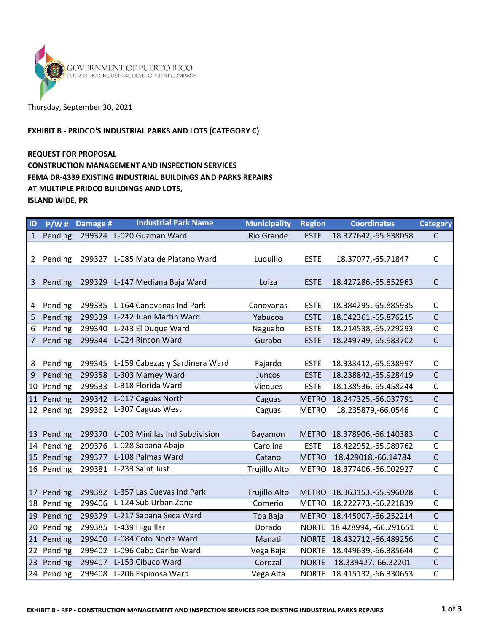

## Thursday, September 30, 2021

#### EXHIBIT B - PRIDCO'S INDUSTRIAL PARKS AND LOTS (CATEGORY C)

### REQUEST FOR PROPOSAL CONSTRUCTION MANAGEMENT AND INSPECTION SERVICES FEMA DR-4339 EXISTING INDUSTRIAL BUILDINGS AND PARKS REPAIRS AT MULTIPLE PRIDCO BUILDINGS AND LOTS, ISLAND WIDE, PR

| ID           | P/W#       | Damage # | <b>Industrial Park Name</b>           | <b>Municipality</b>  | <b>Region</b> | <b>Coordinates</b>          | <b>Category</b> |
|--------------|------------|----------|---------------------------------------|----------------------|---------------|-----------------------------|-----------------|
| $\mathbf{1}$ | Pending    |          | 299324 L-020 Guzman Ward              | <b>Rio Grande</b>    | <b>ESTE</b>   | 18.377642,-65.838058        | $\mathsf{C}$    |
| 2            | Pending    | 299327   | L-085 Mata de Platano Ward            | Luquillo             | <b>ESTE</b>   | 18.37077, - 65.71847        | $\mathsf C$     |
|              |            |          |                                       |                      |               |                             |                 |
| 3            | Pending    |          | 299329 L-147 Mediana Baja Ward        | Loiza                | <b>ESTE</b>   | 18.427286,-65.852963        | $\mathsf{C}$    |
|              |            |          |                                       |                      |               |                             |                 |
| 4            | Pending    | 299335   | L-164 Canovanas Ind Park              | Canovanas            | <b>ESTE</b>   | 18.384295, -65.885935       | $\mathsf C$     |
| 5            | Pending    | 299339   | L-242 Juan Martin Ward                | Yabucoa              | <b>ESTE</b>   | 18.042361,-65.876215        | $\mathsf{C}$    |
| 6            | Pending    |          | 299340 L-243 El Duque Ward            | Naguabo              | <b>ESTE</b>   | 18.214538, -65.729293       | $\mathsf C$     |
| 7            | Pending    |          | 299344 L-024 Rincon Ward              | Gurabo               | <b>ESTE</b>   | 18.249749, -65.983702       | $\mathsf{C}$    |
|              |            |          |                                       |                      |               |                             |                 |
| 8            | Pending    |          | 299345 L-159 Cabezas y Sardinera Ward | Fajardo              | <b>ESTE</b>   | 18.333412, -65.638997       | $\mathsf{C}$    |
| 9            | Pending    | 299358   | L-303 Mamey Ward                      | Juncos               | <b>ESTE</b>   | 18.238842,-65.928419        | $\mathsf{C}$    |
| 10           | Pending    | 299533   | L-318 Florida Ward                    | Vieques              | <b>ESTE</b>   | 18.138536, -65.458244       | $\mathsf{C}$    |
| 11           | Pending    |          | 299342 L-017 Caguas North             | Caguas               | <b>METRO</b>  | 18.247325, -66.037791       | $\mathsf{C}$    |
|              | 12 Pending | 299362   | L-307 Caguas West                     | Caguas               | <b>METRO</b>  | 18.235879,-66.0546          | $\mathsf{C}$    |
|              |            |          |                                       |                      |               |                             |                 |
| 13           | Pending    | 299370   | L-003 Minillas Ind Subdivision        | Bayamon              | <b>METRO</b>  | 18.378906,-66.140383        | $\mathsf C$     |
| 14           | Pending    |          | 299376 L-028 Sabana Abajo             | Carolina             | <b>ESTE</b>   | 18.422952,-65.989762        | $\mathsf C$     |
| 15           | Pending    | 299377   | L-108 Palmas Ward                     | Catano               | <b>METRO</b>  | 18.429018, -66.14784        | $\mathsf{C}$    |
|              | 16 Pending |          | 299381 L-233 Saint Just               | Trujillo Alto        | <b>METRO</b>  | 18.377406,-66.002927        | $\mathsf{C}$    |
|              |            |          |                                       |                      |               |                             |                 |
| 17           | Pending    | 299382   | L-357 Las Cuevas Ind Park             | <b>Trujillo Alto</b> | <b>METRO</b>  | 18.363153,-65.996028        | $\mathsf C$     |
| 18           | Pending    | 299406   | L-124 Sub Urban Zone                  | Comerio              | METRO         | 18.222773, -66.221839       | $\mathsf{C}$    |
| 19           | Pending    | 299379   | L-217 Sabana Seca Ward                | Toa Baja             | <b>METRO</b>  | 18.445007, -66.252214       | $\mathsf{C}$    |
| 20           | Pending    | 299385   | L-439 Higuillar                       | Dorado               |               | NORTE 18.428994, -66.291651 | C               |
| 21           | Pending    | 299400   | L-084 Coto Norte Ward                 | Manati               | <b>NORTE</b>  | 18.432712,-66.489256        | $\mathsf{C}$    |
| 22           | Pending    | 299402   | L-096 Cabo Caribe Ward                | Vega Baja            | <b>NORTE</b>  | 18.449639, -66.385644       | C               |
| 23           | Pending    | 299407   | L-153 Cibuco Ward                     | Corozal              | <b>NORTE</b>  | 18.339427, -66.32201        | $\mathsf C$     |
|              | 24 Pending |          | 299408 L-206 Espinosa Ward            | Vega Alta            | <b>NORTE</b>  | 18.415132,-66.330653        | C               |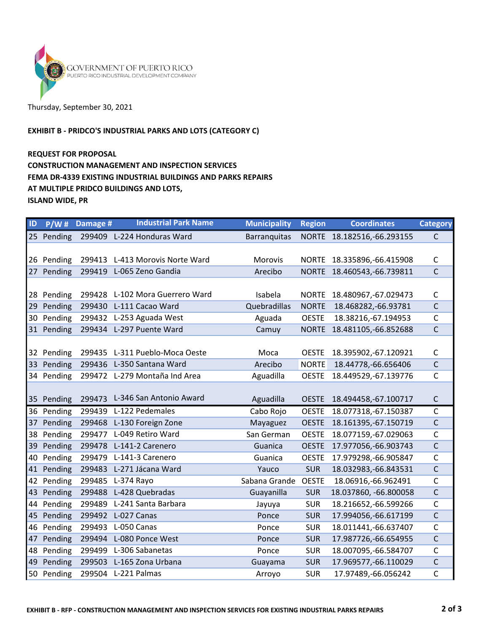

# Thursday, September 30, 2021

#### EXHIBIT B - PRIDCO'S INDUSTRIAL PARKS AND LOTS (CATEGORY C)

### REQUEST FOR PROPOSAL CONSTRUCTION MANAGEMENT AND INSPECTION SERVICES FEMA DR-4339 EXISTING INDUSTRIAL BUILDINGS AND PARKS REPAIRS AT MULTIPLE PRIDCO BUILDINGS AND LOTS, ISLAND WIDE, PR

| ID              | P/W#       | Damage # | <b>Industrial Park Name</b>     | <b>Municipality</b> | <b>Region</b> | <b>Coordinates</b>         | <b>Category</b> |
|-----------------|------------|----------|---------------------------------|---------------------|---------------|----------------------------|-----------------|
|                 | 25 Pending |          | 299409 L-224 Honduras Ward      | <b>Barranquitas</b> |               | NORTE 18.182516,-66.293155 | $\mathsf{C}$    |
|                 |            |          |                                 |                     |               |                            |                 |
| 26              | Pending    | 299413   | L-413 Morovis Norte Ward        | <b>Morovis</b>      | <b>NORTE</b>  | 18.335896, -66.415908      | $\mathsf C$     |
| 27 <sub>2</sub> | Pending    |          | 299419 L-065 Zeno Gandia        | Arecibo             | <b>NORTE</b>  | 18.460543,-66.739811       | $\mathsf{C}$    |
|                 |            |          |                                 |                     |               |                            |                 |
| 28              | Pending    |          | 299428 L-102 Mora Guerrero Ward | Isabela             | <b>NORTE</b>  | 18.480967,-67.029473       | $\mathsf{C}$    |
| 29              | Pending    | 299430   | L-111 Cacao Ward                | Quebradillas        | <b>NORTE</b>  | 18.468282,-66.93781        | $\mathsf{C}$    |
| 30              | Pending    |          | 299432 L-253 Aguada West        | Aguada              | <b>OESTE</b>  | 18.38216,-67.194953        | $\mathsf{C}$    |
|                 | 31 Pending |          | 299434 L-297 Puente Ward        | Camuy               | <b>NORTE</b>  | 18.481105,-66.852688       | $\mathsf{C}$    |
|                 |            |          |                                 |                     |               |                            |                 |
| 32              | Pending    |          | 299435 L-311 Pueblo-Moca Oeste  | Moca                | <b>OESTE</b>  | 18.395902,-67.120921       | $\mathsf{C}$    |
| 33              | Pending    |          | 299436 L-350 Santana Ward       | Arecibo             | <b>NORTE</b>  | 18.44778, -66.656406       | $\mathsf C$     |
| 34              | Pending    |          | 299472 L-279 Montaña Ind Area   | Aguadilla           | <b>OESTE</b>  | 18.449529, -67.139776      | $\mathsf{C}$    |
|                 |            |          |                                 |                     |               |                            |                 |
|                 | 35 Pending |          | 299473 L-346 San Antonio Award  | Aguadilla           | <b>OESTE</b>  | 18.494458,-67.100717       | $\mathsf C$     |
| 36              | Pending    |          | 299439 L-122 Pedemales          | Cabo Rojo           | <b>OESTE</b>  | 18.077318,-67.150387       | $\mathsf{C}$    |
| 37              | Pending    |          | 299468 L-130 Foreign Zone       | Mayaguez            | <b>OESTE</b>  | 18.161395, -67.150719      | $\mathsf C$     |
| 38              | Pending    | 299477   | L-049 Retiro Ward               | San German          | <b>OESTE</b>  | 18.077159,-67.029063       | $\mathsf{C}$    |
| 39              | Pending    |          | 299478 L-141-2 Carenero         | Guanica             | <b>OESTE</b>  | 17.977056,-66.903743       | $\mathsf{C}$    |
| 40              | Pending    |          | 299479 L-141-3 Carenero         | Guanica             | <b>OESTE</b>  | 17.979298, -66.905847      | $\mathsf{C}$    |
| 41              | Pending    |          | 299483 L-271 Jácana Ward        | Yauco               | <b>SUR</b>    | 18.032983, -66.843531      | $\overline{C}$  |
| 42              | Pending    | 299485   | L-374 Rayo                      | Sabana Grande       | <b>OESTE</b>  | 18.06916, -66.962491       | C               |
| 43              | Pending    |          | 299488 L-428 Quebradas          | Guayanilla          | <b>SUR</b>    | 18.037860, -66.800058      | $\mathsf{C}$    |
| 44              | Pending    | 299489   | L-241 Santa Barbara             | Jayuya              | <b>SUR</b>    | 18.216652,-66.599266       | $\mathsf{C}$    |
| 45              | Pending    | 299492   | L-027 Canas                     | Ponce               | <b>SUR</b>    | 17.994056, -66.617199      | $\mathsf{C}$    |
| 46              | Pending    |          | 299493 L-050 Canas              | Ponce               | <b>SUR</b>    | 18.011441,-66.637407       | $\mathsf{C}$    |
| 47              | Pending    |          | 299494 L-080 Ponce West         | Ponce               | <b>SUR</b>    | 17.987726,-66.654955       | $\mathsf C$     |
| 48              | Pending    | 299499   | L-306 Sabanetas                 | Ponce               | <b>SUR</b>    | 18.007095,-66.584707       | $\mathsf C$     |
| 49              | Pending    |          | 299503 L-165 Zona Urbana        | Guayama             | <b>SUR</b>    | 17.969577, -66.110029      | $\mathsf C$     |
|                 | 50 Pending |          | 299504 L-221 Palmas             | Arroyo              | <b>SUR</b>    | 17.97489,-66.056242        | $\mathsf{C}$    |